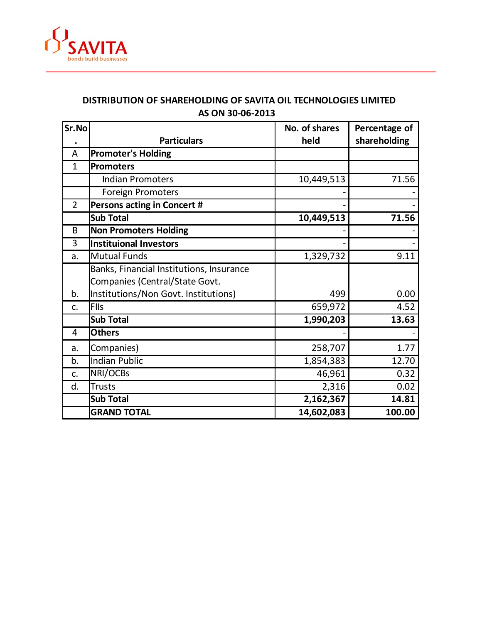

## **DISTRIBUTION OF SHAREHOLDING OF SAVITA OIL TECHNOLOGIES LIMITED AS ON 30-06-2013**

| Sr.No          |                                          | No. of shares | Percentage of |
|----------------|------------------------------------------|---------------|---------------|
|                | <b>Particulars</b>                       | held          | shareholding  |
| A              | <b>Promoter's Holding</b>                |               |               |
| $\mathbf{1}$   | Promoters                                |               |               |
|                | <b>Indian Promoters</b>                  | 10,449,513    | 71.56         |
|                | <b>Foreign Promoters</b>                 |               |               |
| $\overline{2}$ | Persons acting in Concert #              |               |               |
|                | <b>Sub Total</b>                         | 10,449,513    | 71.56         |
| B              | <b>Non Promoters Holding</b>             |               |               |
| 3              | <b>Instituional Investors</b>            |               |               |
| a.             | Mutual Funds                             | 1,329,732     | 9.11          |
|                | Banks, Financial Institutions, Insurance |               |               |
|                | Companies (Central/State Govt.           |               |               |
| b.             | Institutions/Non Govt. Institutions)     | 499           | 0.00          |
| c.             | FIIs                                     | 659,972       | 4.52          |
|                | <b>Sub Total</b>                         | 1,990,203     | 13.63         |
| 4              | <b>Others</b>                            |               |               |
| a.             | Companies)                               | 258,707       | 1.77          |
| b.             | <b>Indian Public</b>                     | 1,854,383     | 12.70         |
| c.             | NRI/OCBs                                 | 46,961        | 0.32          |
| d.             | Trusts                                   | 2,316         | 0.02          |
|                | <b>Sub Total</b>                         | 2,162,367     | 14.81         |
|                | <b>GRAND TOTAL</b>                       | 14,602,083    | 100.00        |